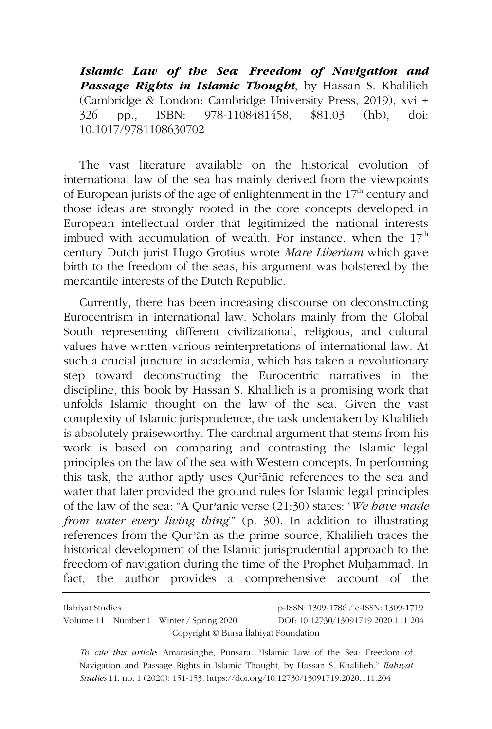*Islamic Law of the Sea: Freedom of Navigation and Passage Rights in Islamic Thought*, by Hassan S. Khalilieh (Cambridge & London: Cambridge University Press, 2019), xvi + 326 pp., ISBN: 978-1108481458, \$81.03 (hb), doi: 10.1017/9781108630702

The vast literature available on the historical evolution of international law of the sea has mainly derived from the viewpoints of European jurists of the age of enlightenment in the  $17<sup>th</sup>$  century and those ideas are strongly rooted in the core concepts developed in European intellectual order that legitimized the national interests imbued with accumulation of wealth. For instance, when the  $17<sup>th</sup>$ century Dutch jurist Hugo Grotius wrote *Mare Liberium* which gave birth to the freedom of the seas, his argument was bolstered by the mercantile interests of the Dutch Republic.

Currently, there has been increasing discourse on deconstructing Eurocentrism in international law. Scholars mainly from the Global South representing different civilizational, religious, and cultural values have written various reinterpretations of international law. At such a crucial juncture in academia, which has taken a revolutionary step toward deconstructing the Eurocentric narratives in the discipline, this book by Hassan S. Khalilieh is a promising work that unfolds Islamic thought on the law of the sea. Given the vast complexity of Islamic jurisprudence, the task undertaken by Khalilieh is absolutely praiseworthy. The cardinal argument that stems from his work is based on comparing and contrasting the Islamic legal principles on the law of the sea with Western concepts. In performing this task, the author aptly uses Qurʾānic references to the sea and water that later provided the ground rules for Islamic legal principles of the law of the sea: "A Qurʾānic verse (21:30) states: '*We have made from water every living thing*'" (p. 30). In addition to illustrating references from the Qurʾān as the prime source, Khalilieh traces the historical development of the Islamic jurisprudential approach to the freedom of navigation during the time of the Prophet Muḥammad. In fact, the author provides a comprehensive account of the

| Ilahiyat Studies                      |  |                                         | p-ISSN: 1309-1786 / e-ISSN: 1309-1719 |
|---------------------------------------|--|-----------------------------------------|---------------------------------------|
|                                       |  | Volume 11 Number 1 Winter / Spring 2020 | DOI: 10.12730/13091719.2020.111.204   |
| Copyright © Bursa İlahiyat Foundation |  |                                         |                                       |

*To cite this article*: Amarasinghe, Punsara. "Islamic Law of the Sea: Freedom of Navigation and Passage Rights in Islamic Thought, by Hassan S. Khalilieh." *Ilahiyat Studies* 11, no. 1 (2020): 151-153. https://doi.org/10.12730/13091719.2020.111.204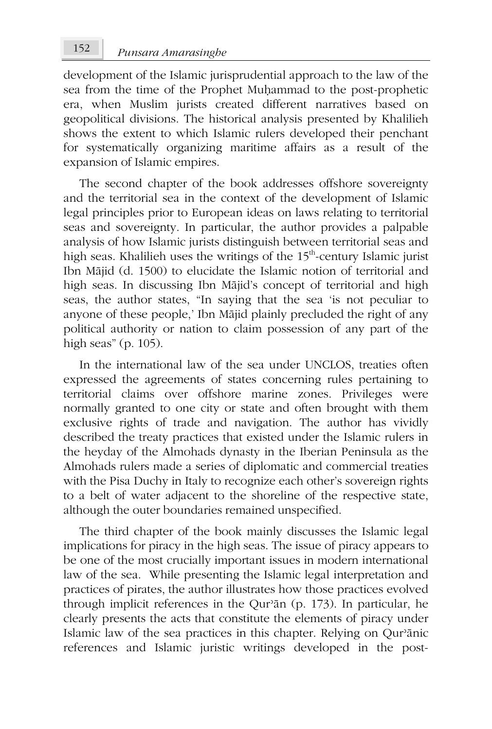development of the Islamic jurisprudential approach to the law of the sea from the time of the Prophet Muḥammad to the post-prophetic era, when Muslim jurists created different narratives based on geopolitical divisions. The historical analysis presented by Khalilieh shows the extent to which Islamic rulers developed their penchant for systematically organizing maritime affairs as a result of the expansion of Islamic empires.

The second chapter of the book addresses offshore sovereignty and the territorial sea in the context of the development of Islamic legal principles prior to European ideas on laws relating to territorial seas and sovereignty. In particular, the author provides a palpable analysis of how Islamic jurists distinguish between territorial seas and high seas. Khalilieh uses the writings of the 15<sup>th</sup>-century Islamic jurist Ibn Mājid (d. 1500) to elucidate the Islamic notion of territorial and high seas. In discussing Ibn Mājid's concept of territorial and high seas, the author states, "In saying that the sea 'is not peculiar to anyone of these people,' Ibn Mājid plainly precluded the right of any political authority or nation to claim possession of any part of the high seas" (p. 105).

In the international law of the sea under UNCLOS, treaties often expressed the agreements of states concerning rules pertaining to territorial claims over offshore marine zones. Privileges were normally granted to one city or state and often brought with them exclusive rights of trade and navigation. The author has vividly described the treaty practices that existed under the Islamic rulers in the heyday of the Almohads dynasty in the Iberian Peninsula as the Almohads rulers made a series of diplomatic and commercial treaties with the Pisa Duchy in Italy to recognize each other's sovereign rights to a belt of water adjacent to the shoreline of the respective state, although the outer boundaries remained unspecified.

The third chapter of the book mainly discusses the Islamic legal implications for piracy in the high seas. The issue of piracy appears to be one of the most crucially important issues in modern international law of the sea. While presenting the Islamic legal interpretation and practices of pirates, the author illustrates how those practices evolved through implicit references in the Qurʾān (p. 173). In particular, he clearly presents the acts that constitute the elements of piracy under Islamic law of the sea practices in this chapter. Relying on Qurʾānic references and Islamic juristic writings developed in the post